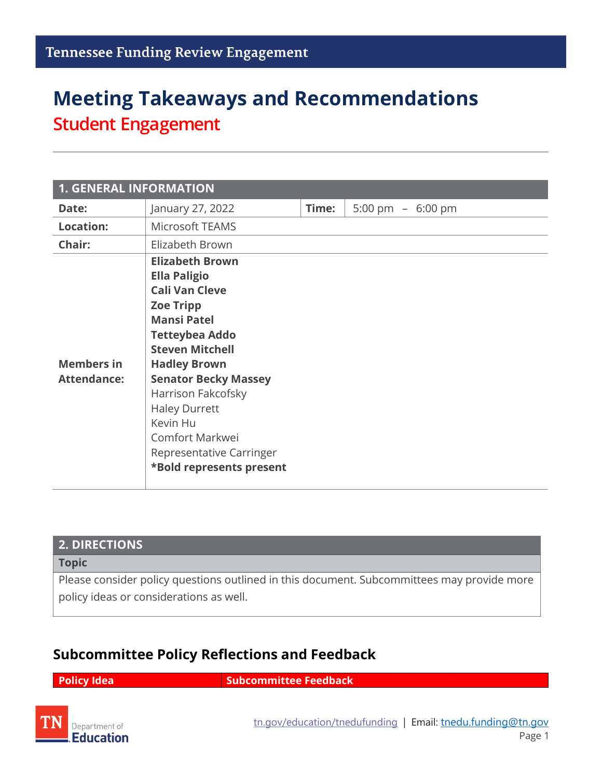# **Meeting Takeaways and Recommendations Student Engagement**

| <b>1. GENERAL INFORMATION</b>           |                                                                                                                                                                                                                                                                                                                                                                |       |                    |  |
|-----------------------------------------|----------------------------------------------------------------------------------------------------------------------------------------------------------------------------------------------------------------------------------------------------------------------------------------------------------------------------------------------------------------|-------|--------------------|--|
| Date:                                   | January 27, 2022                                                                                                                                                                                                                                                                                                                                               | Time: | 5:00 pm $-6:00$ pm |  |
| <b>Location:</b>                        | Microsoft TEAMS                                                                                                                                                                                                                                                                                                                                                |       |                    |  |
| Chair:                                  | Elizabeth Brown                                                                                                                                                                                                                                                                                                                                                |       |                    |  |
| <b>Members in</b><br><b>Attendance:</b> | <b>Elizabeth Brown</b><br><b>Ella Paligio</b><br><b>Cali Van Cleve</b><br><b>Zoe Tripp</b><br><b>Mansi Patel</b><br><b>Tetteybea Addo</b><br><b>Steven Mitchell</b><br><b>Hadley Brown</b><br><b>Senator Becky Massey</b><br>Harrison Fakcofsky<br><b>Haley Durrett</b><br>Kevin Hu<br>Comfort Markwei<br>Representative Carringer<br>*Bold represents present |       |                    |  |

#### **2. DIRECTIONS**

**Topic**

Please consider policy questions outlined in this document. Subcommittees may provide more policy ideas or considerations as well.

#### **Subcommittee Policy Reflections and Feedback**

**Policy Idea Subcommittee Feedback** 

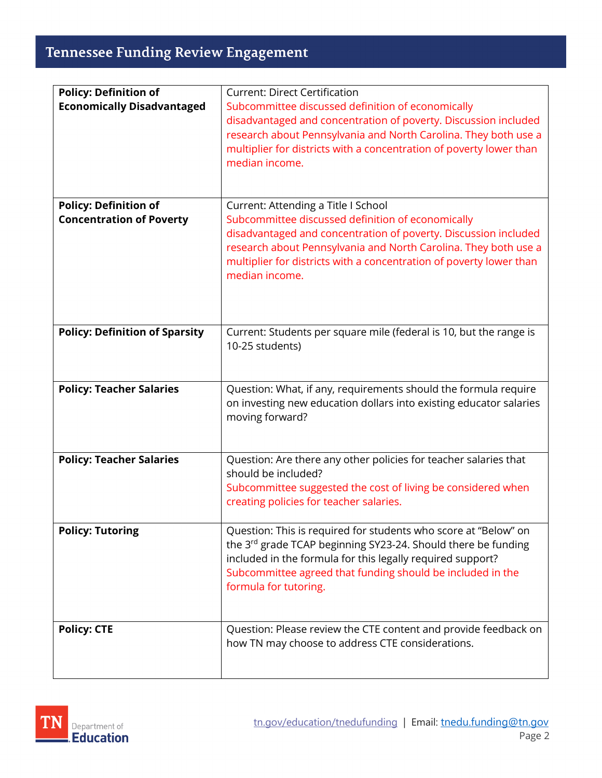## **Tennessee Funding Review Engagement**

| <b>Policy: Definition of</b>          | <b>Current: Direct Certification</b>                                                                                               |  |  |
|---------------------------------------|------------------------------------------------------------------------------------------------------------------------------------|--|--|
| <b>Economically Disadvantaged</b>     | Subcommittee discussed definition of economically                                                                                  |  |  |
|                                       | disadvantaged and concentration of poverty. Discussion included                                                                    |  |  |
|                                       | research about Pennsylvania and North Carolina. They both use a                                                                    |  |  |
|                                       | multiplier for districts with a concentration of poverty lower than                                                                |  |  |
|                                       | median income.                                                                                                                     |  |  |
|                                       |                                                                                                                                    |  |  |
|                                       |                                                                                                                                    |  |  |
| <b>Policy: Definition of</b>          | Current: Attending a Title I School                                                                                                |  |  |
| <b>Concentration of Poverty</b>       | Subcommittee discussed definition of economically                                                                                  |  |  |
|                                       | disadvantaged and concentration of poverty. Discussion included<br>research about Pennsylvania and North Carolina. They both use a |  |  |
|                                       | multiplier for districts with a concentration of poverty lower than                                                                |  |  |
|                                       | median income.                                                                                                                     |  |  |
|                                       |                                                                                                                                    |  |  |
|                                       |                                                                                                                                    |  |  |
|                                       |                                                                                                                                    |  |  |
| <b>Policy: Definition of Sparsity</b> | Current: Students per square mile (federal is 10, but the range is                                                                 |  |  |
|                                       | 10-25 students)                                                                                                                    |  |  |
|                                       |                                                                                                                                    |  |  |
|                                       |                                                                                                                                    |  |  |
| <b>Policy: Teacher Salaries</b>       | Question: What, if any, requirements should the formula require                                                                    |  |  |
|                                       | on investing new education dollars into existing educator salaries<br>moving forward?                                              |  |  |
|                                       |                                                                                                                                    |  |  |
|                                       |                                                                                                                                    |  |  |
| <b>Policy: Teacher Salaries</b>       | Question: Are there any other policies for teacher salaries that                                                                   |  |  |
|                                       | should be included?                                                                                                                |  |  |
|                                       | Subcommittee suggested the cost of living be considered when                                                                       |  |  |
|                                       | creating policies for teacher salaries.                                                                                            |  |  |
|                                       |                                                                                                                                    |  |  |
| <b>Policy: Tutoring</b>               | Question: This is required for students who score at "Below" on<br>the 3rd grade TCAP beginning SY23-24. Should there be funding   |  |  |
|                                       | included in the formula for this legally required support?                                                                         |  |  |
|                                       | Subcommittee agreed that funding should be included in the                                                                         |  |  |
|                                       | formula for tutoring.                                                                                                              |  |  |
|                                       |                                                                                                                                    |  |  |
|                                       |                                                                                                                                    |  |  |
| <b>Policy: CTE</b>                    | Question: Please review the CTE content and provide feedback on                                                                    |  |  |
|                                       | how TN may choose to address CTE considerations.                                                                                   |  |  |
|                                       |                                                                                                                                    |  |  |
|                                       |                                                                                                                                    |  |  |

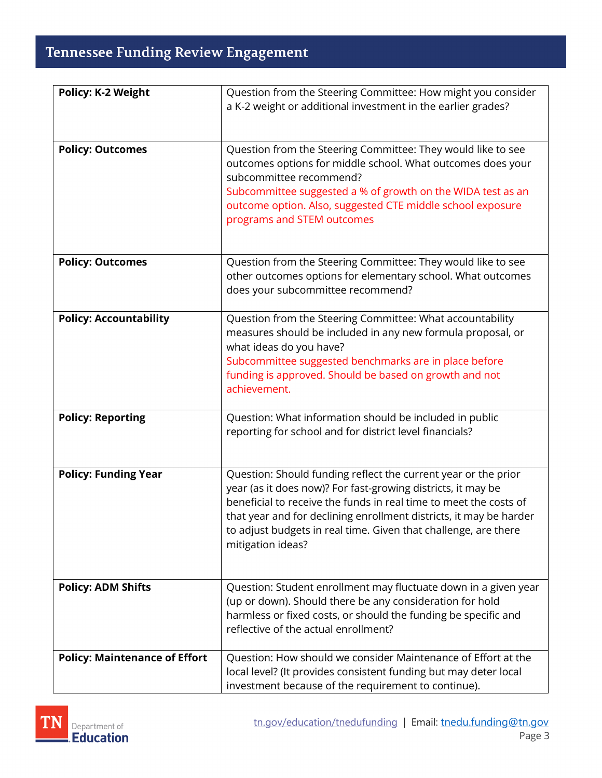## **Tennessee Funding Review Engagement**

| <b>Policy: K-2 Weight</b>            | Question from the Steering Committee: How might you consider                                                                                                                                                                                                                                                                                                      |
|--------------------------------------|-------------------------------------------------------------------------------------------------------------------------------------------------------------------------------------------------------------------------------------------------------------------------------------------------------------------------------------------------------------------|
|                                      | a K-2 weight or additional investment in the earlier grades?                                                                                                                                                                                                                                                                                                      |
|                                      |                                                                                                                                                                                                                                                                                                                                                                   |
| <b>Policy: Outcomes</b>              | Question from the Steering Committee: They would like to see<br>outcomes options for middle school. What outcomes does your<br>subcommittee recommend?<br>Subcommittee suggested a % of growth on the WIDA test as an<br>outcome option. Also, suggested CTE middle school exposure<br>programs and STEM outcomes                                                 |
| <b>Policy: Outcomes</b>              | Question from the Steering Committee: They would like to see<br>other outcomes options for elementary school. What outcomes<br>does your subcommittee recommend?                                                                                                                                                                                                  |
| <b>Policy: Accountability</b>        | Question from the Steering Committee: What accountability<br>measures should be included in any new formula proposal, or<br>what ideas do you have?<br>Subcommittee suggested benchmarks are in place before<br>funding is approved. Should be based on growth and not<br>achievement.                                                                            |
| <b>Policy: Reporting</b>             | Question: What information should be included in public<br>reporting for school and for district level financials?                                                                                                                                                                                                                                                |
| <b>Policy: Funding Year</b>          | Question: Should funding reflect the current year or the prior<br>year (as it does now)? For fast-growing districts, it may be<br>beneficial to receive the funds in real time to meet the costs of<br>that year and for declining enrollment districts, it may be harder<br>to adjust budgets in real time. Given that challenge, are there<br>mitigation ideas? |
| <b>Policy: ADM Shifts</b>            | Question: Student enrollment may fluctuate down in a given year<br>(up or down). Should there be any consideration for hold<br>harmless or fixed costs, or should the funding be specific and<br>reflective of the actual enrollment?                                                                                                                             |
| <b>Policy: Maintenance of Effort</b> | Question: How should we consider Maintenance of Effort at the<br>local level? (It provides consistent funding but may deter local<br>investment because of the requirement to continue).                                                                                                                                                                          |